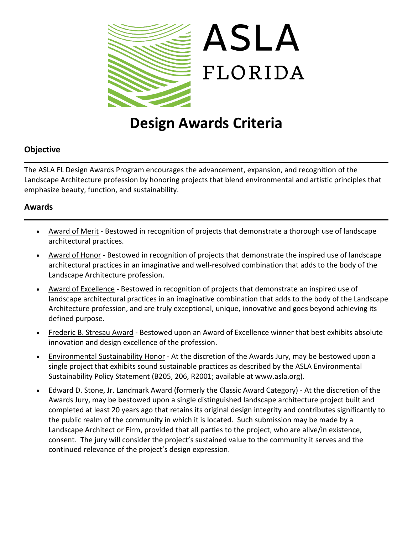

# **Design Awards Criteria**

# **Objective**

The ASLA FL Design Awards Program encourages the advancement, expansion, and recognition of the Landscape Architecture profession by honoring projects that blend environmental and artistic principles that emphasize beauty, function, and sustainability.

### **Awards**

- Award of Merit Bestowed in recognition of projects that demonstrate a thorough use of landscape architectural practices.
- Award of Honor Bestowed in recognition of projects that demonstrate the inspired use of landscape architectural practices in an imaginative and well-resolved combination that adds to the body of the Landscape Architecture profession.
- Award of Excellence Bestowed in recognition of projects that demonstrate an inspired use of landscape architectural practices in an imaginative combination that adds to the body of the Landscape Architecture profession, and are truly exceptional, unique, innovative and goes beyond achieving its defined purpose.
- Frederic B. Stresau Award Bestowed upon an Award of Excellence winner that best exhibits absolute innovation and design excellence of the profession.
- Environmental Sustainability Honor At the discretion of the Awards Jury, may be bestowed upon a single project that exhibits sound sustainable practices as described by the ASLA Environmental Sustainability Policy Statement (B205, 206, R2001; available at www.asla.org).
- Edward D. Stone, Jr. Landmark Award (formerly the Classic Award Category) At the discretion of the Awards Jury, may be bestowed upon a single distinguished landscape architecture project built and completed at least 20 years ago that retains its original design integrity and contributes significantly to the public realm of the community in which it is located. Such submission may be made by a Landscape Architect or Firm, provided that all parties to the project, who are alive/in existence, consent. The jury will consider the project's sustained value to the community it serves and the continued relevance of the project's design expression.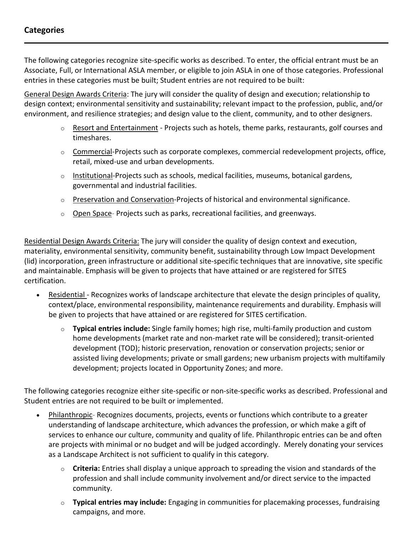The following categories recognize site-specific works as described. To enter, the official entrant must be an Associate, Full, or International ASLA member, or eligible to join ASLA in one of those categories. Professional entries in these categories must be built; Student entries are not required to be built:

General Design Awards Criteria: The jury will consider the quality of design and execution; relationship to design context; environmental sensitivity and sustainability; relevant impact to the profession, public, and/or environment, and resilience strategies; and design value to the client, community, and to other designers.

- $\circ$  Resort and Entertainment Projects such as hotels, theme parks, restaurants, golf courses and timeshares.
- $\circ$  Commercial-Projects such as corporate complexes, commercial redevelopment projects, office, retail, mixed-use and urban developments.
- $\circ$  Institutional-Projects such as schools, medical facilities, museums, botanical gardens, governmental and industrial facilities.
- $\circ$  Preservation and Conservation-Projects of historical and environmental significance.
- $\circ$  Open Space- Projects such as parks, recreational facilities, and greenways.

Residential Design Awards Criteria: The jury will consider the quality of design context and execution, materiality, environmental sensitivity, community benefit, sustainability through Low Impact Development (lid) incorporation, green infrastructure or additional site-specific techniques that are innovative, site specific and maintainable. Emphasis will be given to projects that have attained or are registered for SITES certification.

- Residential Recognizes works of landscape architecture that elevate the design principles of quality, context/place, environmental responsibility, maintenance requirements and durability. Emphasis will be given to projects that have attained or are registered for SITES certification.
	- o **Typical entries include:** Single family homes; high rise, multi-family production and custom home developments (market rate and non-market rate will be considered); transit-oriented development (TOD); historic preservation, renovation or conservation projects; senior or assisted living developments; private or small gardens; new urbanism projects with multifamily development; projects located in Opportunity Zones; and more.

The following categories recognize either site-specific or non-site-specific works as described. Professional and Student entries are not required to be built or implemented.

- Philanthropic- Recognizes documents, projects, events or functions which contribute to a greater understanding of landscape architecture, which advances the profession, or which make a gift of services to enhance our culture, community and quality of life. Philanthropic entries can be and often are projects with minimal or no budget and will be judged accordingly. Merely donating your services as a Landscape Architect is not sufficient to qualify in this category.
	- o **Criteria:** Entries shall display a unique approach to spreading the vision and standards of the profession and shall include community involvement and/or direct service to the impacted community.
	- o **Typical entries may include:** Engaging in communities for placemaking processes, fundraising campaigns, and more.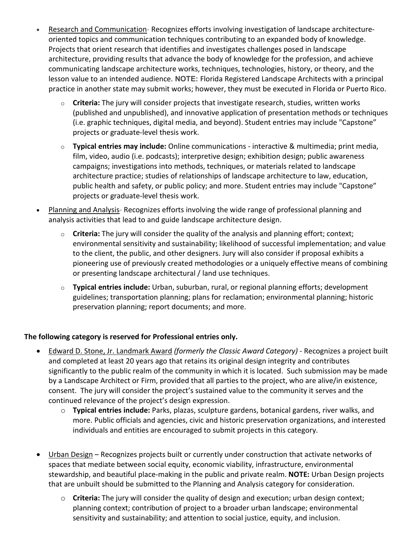- Research and Communication- Recognizes efforts involving investigation of landscape architectureoriented topics and communication techniques contributing to an expanded body of knowledge. Projects that orient research that identifies and investigates challenges posed in landscape architecture, providing results that advance the body of knowledge for the profession, and achieve communicating landscape architecture works, techniques, technologies, history, or theory, and the lesson value to an intended audience. **NOTE:** Florida Registered Landscape Architects with a principal practice in another state may submit works; however, they must be executed in Florida or Puerto Rico.
	- o **Criteria:** The jury will consider projects that investigate research, studies, written works (published and unpublished), and innovative application of presentation methods or techniques (i.e. graphic techniques, digital media, and beyond). Student entries may include "Capstone" projects or graduate-level thesis work.
	- o **Typical entries may include:** Online communications interactive & multimedia; print media, film, video, audio (i.e. podcasts); interpretive design; exhibition design; public awareness campaigns; investigations into methods, techniques, or materials related to landscape architecture practice; studies of relationships of landscape architecture to law, education, public health and safety, or public policy; and more. Student entries may include "Capstone" projects or graduate-level thesis work.
- Planning and Analysis-Recognizes efforts involving the wide range of professional planning and analysis activities that lead to and guide landscape architecture design.
	- o **Criteria:** The jury will consider the quality of the analysis and planning effort; context; environmental sensitivity and sustainability; likelihood of successful implementation; and value to the client, the public, and other designers. Jury will also consider if proposal exhibits a pioneering use of previously created methodologies or a uniquely effective means of combining or presenting landscape architectural / land use techniques.
	- o **Typical entries include:** Urban, suburban, rural, or regional planning efforts; development guidelines; transportation planning; plans for reclamation; environmental planning; historic preservation planning; report documents; and more.

#### **The following category is reserved for Professional entries only.**

- Edward D. Stone, Jr. Landmark Award *(formerly the Classic Award Category)* Recognizes a project built and completed at least 20 years ago that retains its original design integrity and contributes significantly to the public realm of the community in which it is located. Such submission may be made by a Landscape Architect or Firm, provided that all parties to the project, who are alive/in existence, consent. The jury will consider the project's sustained value to the community it serves and the continued relevance of the project's design expression.
	- o **Typical entries include:** Parks, plazas, sculpture gardens, botanical gardens, river walks, and more. Public officials and agencies, civic and historic preservation organizations, and interested individuals and entities are encouraged to submit projects in this category.
- Urban Design Recognizes projects built or currently under construction that activate networks of spaces that mediate between social equity, economic viability, infrastructure, environmental stewardship, and beautiful place-making in the public and private realm. **NOTE:** Urban Design projects that are unbuilt should be submitted to the Planning and Analysis category for consideration.
	- o **Criteria:** The jury will consider the quality of design and execution; urban design context; planning context; contribution of project to a broader urban landscape; environmental sensitivity and sustainability; and attention to social justice, equity, and inclusion.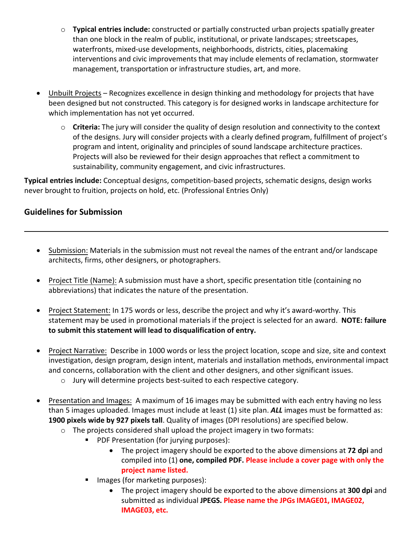- o **Typical entries include:** constructed or partially constructed urban projects spatially greater than one block in the realm of public, institutional, or private landscapes; streetscapes, waterfronts, mixed-use developments, neighborhoods, districts, cities, placemaking interventions and civic improvements that may include elements of reclamation, stormwater management, transportation or infrastructure studies, art, and more.
- Unbuilt Projects Recognizes excellence in design thinking and methodology for projects that have been designed but not constructed. This category is for designed works in landscape architecture for which implementation has not yet occurred.
	- o **Criteria:** The jury will consider the quality of design resolution and connectivity to the context of the designs. Jury will consider projects with a clearly defined program, fulfillment of project's program and intent, originality and principles of sound landscape architecture practices. Projects will also be reviewed for their design approaches that reflect a commitment to sustainability, community engagement, and civic infrastructures.

**Typical entries include:** Conceptual designs, competition-based projects, schematic designs, design works never brought to fruition, projects on hold, etc. (Professional Entries Only)

# **Guidelines for Submission**

- Submission: Materials in the submission must not reveal the names of the entrant and/or landscape architects, firms, other designers, or photographers.
- Project Title (Name): A submission must have a short, specific presentation title (containing no abbreviations) that indicates the nature of the presentation.
- Project Statement: In 175 words or less, describe the project and why it's award-worthy. This statement may be used in promotional materials if the project is selected for an award. **NOTE: failure to submit this statement will lead to disqualification of entry.**
- Project Narrative: Describe in 1000 words or less the project location, scope and size, site and context investigation, design program, design intent, materials and installation methods, environmental impact and concerns, collaboration with the client and other designers, and other significant issues.
	- o Jury will determine projects best-suited to each respective category.
- Presentation and Images: A maximum of 16 images may be submitted with each entry having no less than 5 images uploaded. Images must include at least (1) site plan. *ALL* images must be formatted as: **1900 pixels wide by 927 pixels tall**. Quality of images (DPI resolutions) are specified below.
	- $\circ$  The projects considered shall upload the project imagery in two formats:
		- **PDF Presentation (for jurying purposes):** 
			- The project imagery should be exported to the above dimensions at **72 dpi** and compiled into (1) **one, compiled PDF. Please include a cover page with only the project name listed.**
		- Images (for marketing purposes):
			- The project imagery should be exported to the above dimensions at **300 dpi** and submitted as individual **JPEGS. Please name the JPGs IMAGE01, IMAGE02, IMAGE03, etc.**